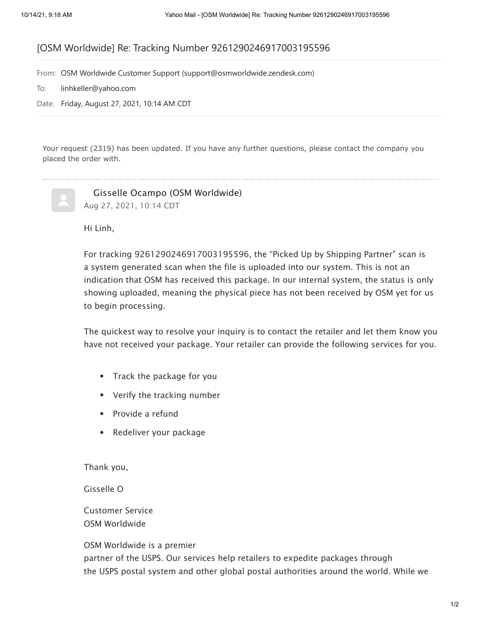## [OSM Worldwide] Re: Tracking Number 9261290246917003195596

From: OSM Worldwide Customer Support (support@osmworldwide.zendesk.com)

- To: linhkeller@yahoo.com
- Date: Friday, August 27, 2021, 10:14 AM CDT

Your request (2319) has been updated. If you have any further questions, please contact the company you placed the order with.

 Gisselle Ocampo (OSM Worldwide) Aug 27, 2021, 10:14 CDT

Hi Linh,

For tracking 9261290246917003195596, the "Picked Up by Shipping Partner" scan is a system generated scan when the file is uploaded into our system. This is not an indication that OSM has received this package. In our internal system, the status is only showing uploaded, meaning the physical piece has not been received by OSM yet for us to begin processing.

The quickest way to resolve your inquiry is to contact the retailer and let them know you have not received your package. Your retailer can provide the following services for you.

- Track the package for you
- Verify the tracking number
- Provide a refund
- Redeliver your package

Thank you,

Gisselle O

Customer Service OSM Worldwide

OSM Worldwide is a premier

partner of the USPS. Our services help retailers to expedite packages through the USPS postal system and other global postal authorities around the world. While we